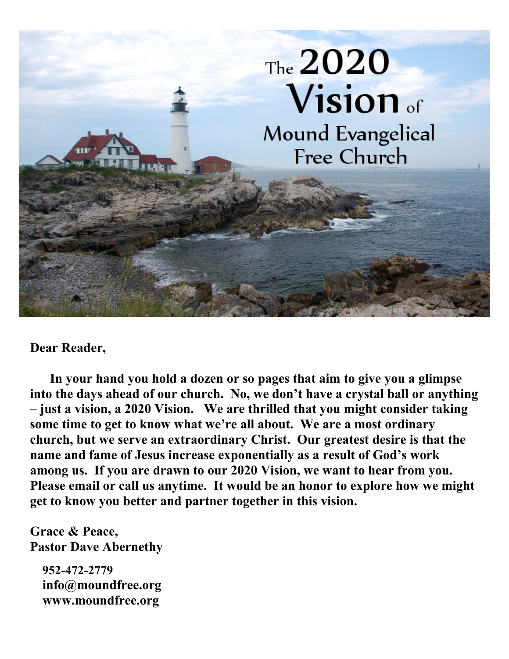

#### **Dear Reader,**

 **In your hand you hold a dozen or so pages that aim to give you a glimpse into the days ahead of our church. No, we don't have a crystal ball or anything – just a vision, a 2020 Vision. We are thrilled that you might consider taking some time to get to know what we're all about. We are a most ordinary church, but we serve an extraordinary Christ. Our greatest desire is that the name and fame of Jesus increase exponentially as a result of God's work among us. If you are drawn to our 2020 Vision, we want to hear from you. Please email or call us anytime. It would be an honor to explore how we might get to know you better and partner together in this vision.** 

**Grace & Peace, Pastor Dave Abernethy**

 **952-472-2779 info@moundfree.org www.moundfree.org**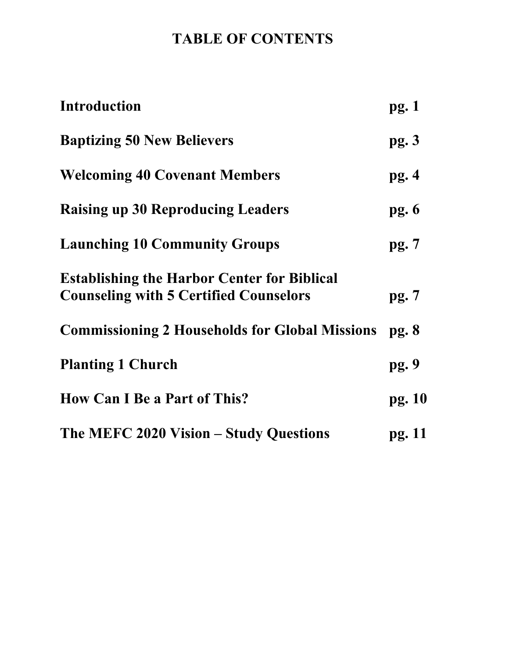# **TABLE OF CONTENTS**

| <b>Introduction</b>                                                                                 | pg.1   |
|-----------------------------------------------------------------------------------------------------|--------|
| <b>Baptizing 50 New Believers</b>                                                                   | pg.3   |
| <b>Welcoming 40 Covenant Members</b>                                                                | pg.4   |
| <b>Raising up 30 Reproducing Leaders</b>                                                            | pg.6   |
| <b>Launching 10 Community Groups</b>                                                                | pg.7   |
| <b>Establishing the Harbor Center for Biblical</b><br><b>Counseling with 5 Certified Counselors</b> | pg.7   |
| <b>Commissioning 2 Households for Global Missions</b>                                               | pg.8   |
| <b>Planting 1 Church</b>                                                                            | pg.9   |
| <b>How Can I Be a Part of This?</b>                                                                 | pg. 10 |
| The MEFC 2020 Vision – Study Questions                                                              | pg. 11 |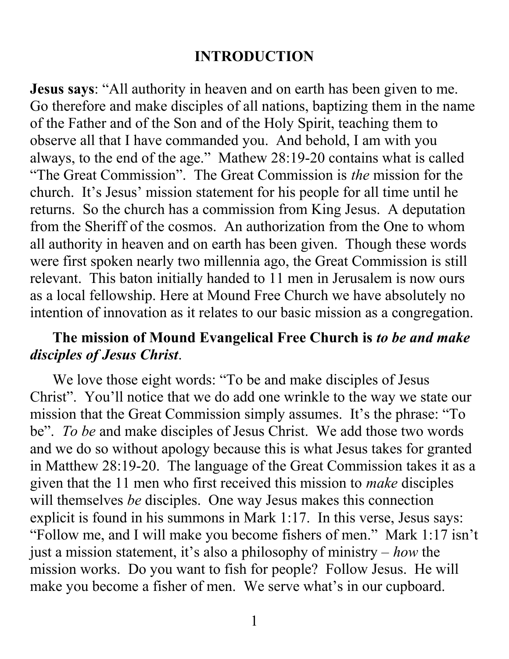### **INTRODUCTION**

**Jesus says**: "All authority in heaven and on earth has been given to me. Go therefore and make disciples of all nations, baptizing them in the name of the Father and of the Son and of the Holy Spirit, teaching them to observe all that I have commanded you. And behold, I am with you always, to the end of the age." Mathew 28:19-20 contains what is called "The Great Commission". The Great Commission is *the* mission for the church. It's Jesus' mission statement for his people for all time until he returns. So the church has a commission from King Jesus. A deputation from the Sheriff of the cosmos. An authorization from the One to whom all authority in heaven and on earth has been given. Though these words were first spoken nearly two millennia ago, the Great Commission is still relevant. This baton initially handed to 11 men in Jerusalem is now ours as a local fellowship. Here at Mound Free Church we have absolutely no intention of innovation as it relates to our basic mission as a congregation.

### **The mission of Mound Evangelical Free Church is** *to be and make disciples of Jesus Christ*.

 We love those eight words: "To be and make disciples of Jesus Christ". You'll notice that we do add one wrinkle to the way we state our mission that the Great Commission simply assumes. It's the phrase: "To be". *To be* and make disciples of Jesus Christ. We add those two words and we do so without apology because this is what Jesus takes for granted in Matthew 28:19-20. The language of the Great Commission takes it as a given that the 11 men who first received this mission to *make* disciples will themselves *be* disciples. One way Jesus makes this connection explicit is found in his summons in Mark 1:17. In this verse, Jesus says: "Follow me, and I will make you become fishers of men." Mark 1:17 isn't just a mission statement, it's also a philosophy of ministry – *how* the mission works. Do you want to fish for people? Follow Jesus. He will make you become a fisher of men. We serve what's in our cupboard.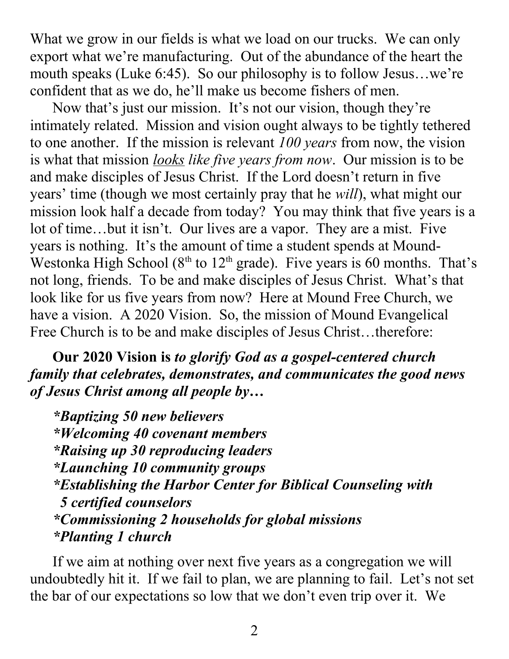What we grow in our fields is what we load on our trucks. We can only export what we're manufacturing. Out of the abundance of the heart the mouth speaks (Luke 6:45). So our philosophy is to follow Jesus…we're confident that as we do, he'll make us become fishers of men.

 Now that's just our mission. It's not our vision, though they're intimately related. Mission and vision ought always to be tightly tethered to one another. If the mission is relevant *100 years* from now, the vision is what that mission *looks like five years from now*. Our mission is to be and make disciples of Jesus Christ. If the Lord doesn't return in five years' time (though we most certainly pray that he *will*), what might our mission look half a decade from today? You may think that five years is a lot of time…but it isn't. Our lives are a vapor. They are a mist. Five years is nothing. It's the amount of time a student spends at Mound-Westonka High School ( $8<sup>th</sup>$  to  $12<sup>th</sup>$  grade). Five years is 60 months. That's not long, friends. To be and make disciples of Jesus Christ. What's that look like for us five years from now? Here at Mound Free Church, we have a vision. A 2020 Vision. So, the mission of Mound Evangelical Free Church is to be and make disciples of Jesus Christ...therefore:

 **Our 2020 Vision is** *to glorify God as a gospel-centered church family that celebrates, demonstrates, and communicates the good news of Jesus Christ among all people by…*

 *\*Baptizing 50 new believers \*Welcoming 40 covenant members \*Raising up 30 reproducing leaders \*Launching 10 community groups \*Establishing the Harbor Center for Biblical Counseling with 5 certified counselors \*Commissioning 2 households for global missions \*Planting 1 church*

 If we aim at nothing over next five years as a congregation we will undoubtedly hit it. If we fail to plan, we are planning to fail. Let's not set the bar of our expectations so low that we don't even trip over it. We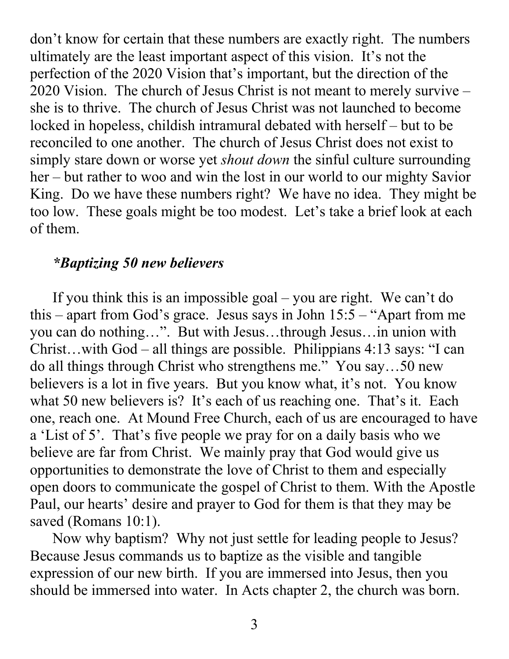don't know for certain that these numbers are exactly right. The numbers ultimately are the least important aspect of this vision. It's not the perfection of the 2020 Vision that's important, but the direction of the 2020 Vision. The church of Jesus Christ is not meant to merely survive – she is to thrive. The church of Jesus Christ was not launched to become locked in hopeless, childish intramural debated with herself – but to be reconciled to one another. The church of Jesus Christ does not exist to simply stare down or worse yet *shout down* the sinful culture surrounding her – but rather to woo and win the lost in our world to our mighty Savior King. Do we have these numbers right? We have no idea. They might be too low. These goals might be too modest. Let's take a brief look at each of them.

#### *\*Baptizing 50 new believers*

 If you think this is an impossible goal – you are right. We can't do this – apart from God's grace. Jesus says in John  $15:5 -$  "Apart from me you can do nothing…". But with Jesus…through Jesus…in union with Christ…with God – all things are possible. Philippians 4:13 says: "I can do all things through Christ who strengthens me." You say…50 new believers is a lot in five years. But you know what, it's not. You know what 50 new believers is? It's each of us reaching one. That's it. Each one, reach one. At Mound Free Church, each of us are encouraged to have a 'List of 5'. That's five people we pray for on a daily basis who we believe are far from Christ. We mainly pray that God would give us opportunities to demonstrate the love of Christ to them and especially open doors to communicate the gospel of Christ to them. With the Apostle Paul, our hearts' desire and prayer to God for them is that they may be saved (Romans 10:1).

 Now why baptism? Why not just settle for leading people to Jesus? Because Jesus commands us to baptize as the visible and tangible expression of our new birth. If you are immersed into Jesus, then you should be immersed into water. In Acts chapter 2, the church was born.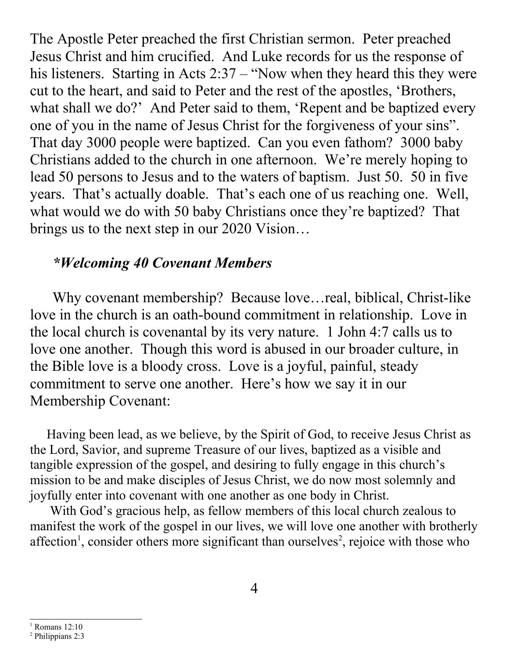The Apostle Peter preached the first Christian sermon. Peter preached Jesus Christ and him crucified. And Luke records for us the response of his listeners. Starting in Acts 2:37 – "Now when they heard this they were cut to the heart, and said to Peter and the rest of the apostles, 'Brothers, what shall we do?' And Peter said to them, 'Repent and be baptized every one of you in the name of Jesus Christ for the forgiveness of your sins". That day 3000 people were baptized. Can you even fathom? 3000 baby Christians added to the church in one afternoon. We're merely hoping to lead 50 persons to Jesus and to the waters of baptism. Just 50. 50 in five years. That's actually doable. That's each one of us reaching one. Well, what would we do with 50 baby Christians once they're baptized? That brings us to the next step in our 2020 Vision…

#### *\*Welcoming 40 Covenant Members*

 Why covenant membership? Because love…real, biblical, Christ-like love in the church is an oath-bound commitment in relationship. Love in the local church is covenantal by its very nature. 1 John 4:7 calls us to love one another. Though this word is abused in our broader culture, in the Bible love is a bloody cross. Love is a joyful, painful, steady commitment to serve one another. Here's how we say it in our Membership Covenant:

 Having been lead, as we believe, by the Spirit of God, to receive Jesus Christ as the Lord, Savior, and supreme Treasure of our lives, baptized as a visible and tangible expression of the gospel, and desiring to fully engage in this church's mission to be and make disciples of Jesus Christ, we do now most solemnly and joyfully enter into covenant with one another as one body in Christ.

 With God's gracious help, as fellow members of this local church zealous to manifest the work of the gospel in our lives, we will love one another with brotherly affection<sup>[1](#page-5-0)</sup>, consider others more significant than ourselves<sup>[2](#page-5-1)</sup>, rejoice with those who

<span id="page-5-0"></span><sup>1</sup> Romans 12:10

<span id="page-5-1"></span><sup>2</sup> Philippians 2:3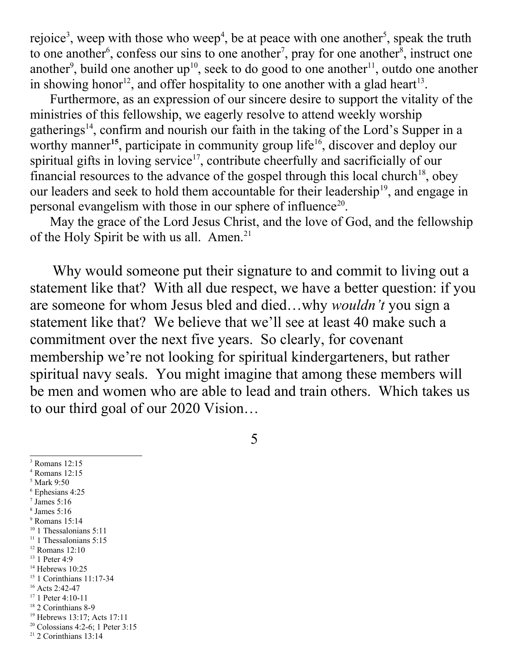rejoice<sup>[3](#page-6-0)</sup>, weep with those who weep<sup>[4](#page-6-1)</sup>, be at peace with one another<sup>[5](#page-6-2)</sup>, speak the truth to one another<sup>[6](#page-6-3)</sup>, confess our sins to one another<sup>[7](#page-6-4)</sup>, pray for one another<sup>[8](#page-6-5)</sup>, instruct one another<sup>[9](#page-6-6)</sup>, build one another up<sup>[10](#page-6-7)</sup>, seek to do good to one another<sup>[11](#page-6-8)</sup>, outdo one another in showing honor<sup>[12](#page-6-9)</sup>, and offer hospitality to one another with a glad heart<sup>[13](#page-6-10)</sup>.

 Furthermore, as an expression of our sincere desire to support the vitality of the ministries of this fellowship, we eagerly resolve to attend weekly worship gatherings<sup>[14](#page-6-11)</sup>, confirm and nourish our faith in the taking of the Lord's Supper in a worthy manner<sup>[15](#page-6-12)</sup>, participate in community group life<sup>[16](#page-6-13)</sup>, discover and deploy our spiritual gifts in loving service<sup>[17](#page-6-14)</sup>, contribute cheerfully and sacrificially of our financial resources to the advance of the gospel through this local church<sup>[18](#page-6-15)</sup>, obey our leaders and seek to hold them accountable for their leadership<sup>[19](#page-6-16)</sup>, and engage in personal evangelism with those in our sphere of influence<sup>[20](#page-6-17)</sup>.

 May the grace of the Lord Jesus Christ, and the love of God, and the fellowship of the Holy Spirit be with us all. Amen.<sup>[21](#page-6-18)</sup>

 Why would someone put their signature to and commit to living out a statement like that? With all due respect, we have a better question: if you are someone for whom Jesus bled and died…why *wouldn't* you sign a statement like that? We believe that we'll see at least 40 make such a commitment over the next five years. So clearly, for covenant membership we're not looking for spiritual kindergarteners, but rather spiritual navy seals. You might imagine that among these members will be men and women who are able to lead and train others. Which takes us to our third goal of our 2020 Vision…

5

<span id="page-6-0"></span>3 Romans 12:15

- <span id="page-6-1"></span>4 Romans 12:15
- <span id="page-6-2"></span>5 Mark 9:50
- <span id="page-6-3"></span>6 Ephesians 4:25
- <span id="page-6-4"></span>7 James 5:16
- <span id="page-6-5"></span>8 James 5:16
- <span id="page-6-6"></span>9 Romans 15:14
- <span id="page-6-7"></span><sup>10</sup> 1 Thessalonians 5:11  $11$  1 Thessalonians 5:15
- <span id="page-6-9"></span><span id="page-6-8"></span><sup>12</sup> Romans 12:10
- <span id="page-6-10"></span><sup>13</sup> 1 Peter 4:9
- <span id="page-6-11"></span> $14$  Hebrews 10:25
- <span id="page-6-12"></span><sup>15</sup> 1 Corinthians 11:17-34
- <span id="page-6-13"></span><sup>16</sup> Acts 2:42-47
- <span id="page-6-14"></span><sup>17</sup> 1 Peter 4:10-11
- <span id="page-6-15"></span><sup>18</sup> 2 Corinthians 8-9
- <span id="page-6-16"></span><sup>19</sup> Hebrews 13:17; Acts 17:11
- <span id="page-6-17"></span> $20$  Colossians 4:2-6; 1 Peter 3:15
- <span id="page-6-18"></span> $21$  2 Corinthians 13:14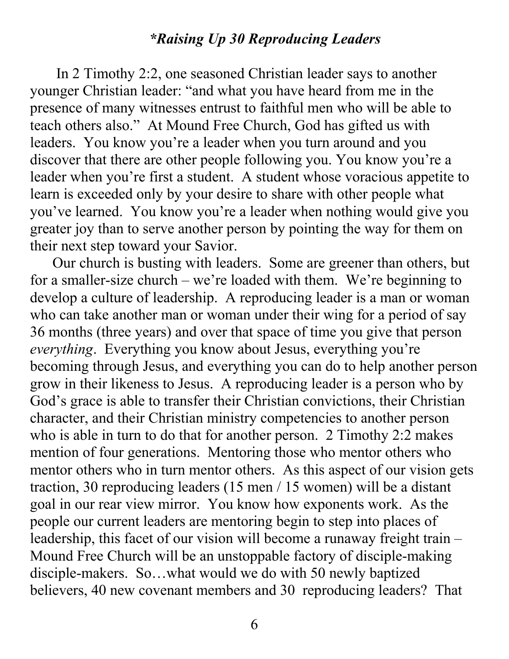### *\*Raising Up 30 Reproducing Leaders*

 In 2 Timothy 2:2, one seasoned Christian leader says to another younger Christian leader: "and what you have heard from me in the presence of many witnesses entrust to faithful men who will be able to teach others also." At Mound Free Church, God has gifted us with leaders. You know you're a leader when you turn around and you discover that there are other people following you. You know you're a leader when you're first a student. A student whose voracious appetite to learn is exceeded only by your desire to share with other people what you've learned. You know you're a leader when nothing would give you greater joy than to serve another person by pointing the way for them on their next step toward your Savior.

 Our church is busting with leaders. Some are greener than others, but for a smaller-size church – we're loaded with them. We're beginning to develop a culture of leadership. A reproducing leader is a man or woman who can take another man or woman under their wing for a period of say 36 months (three years) and over that space of time you give that person *everything*. Everything you know about Jesus, everything you're becoming through Jesus, and everything you can do to help another person grow in their likeness to Jesus. A reproducing leader is a person who by God's grace is able to transfer their Christian convictions, their Christian character, and their Christian ministry competencies to another person who is able in turn to do that for another person. 2 Timothy 2:2 makes mention of four generations. Mentoring those who mentor others who mentor others who in turn mentor others. As this aspect of our vision gets traction, 30 reproducing leaders (15 men / 15 women) will be a distant goal in our rear view mirror. You know how exponents work. As the people our current leaders are mentoring begin to step into places of leadership, this facet of our vision will become a runaway freight train – Mound Free Church will be an unstoppable factory of disciple-making disciple-makers. So…what would we do with 50 newly baptized believers, 40 new covenant members and 30 reproducing leaders? That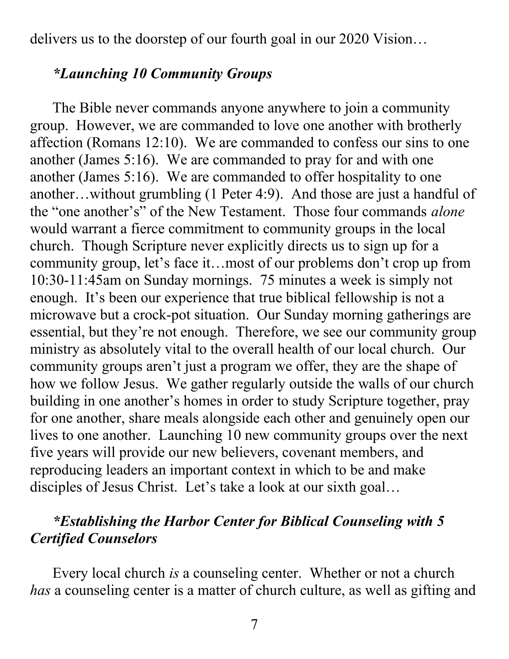delivers us to the doorstep of our fourth goal in our 2020 Vision…

#### *\*Launching 10 Community Groups*

 The Bible never commands anyone anywhere to join a community group. However, we are commanded to love one another with brotherly affection (Romans 12:10). We are commanded to confess our sins to one another (James 5:16). We are commanded to pray for and with one another (James 5:16). We are commanded to offer hospitality to one another…without grumbling (1 Peter 4:9). And those are just a handful of the "one another's" of the New Testament. Those four commands *alone* would warrant a fierce commitment to community groups in the local church. Though Scripture never explicitly directs us to sign up for a community group, let's face it…most of our problems don't crop up from 10:30-11:45am on Sunday mornings. 75 minutes a week is simply not enough. It's been our experience that true biblical fellowship is not a microwave but a crock-pot situation. Our Sunday morning gatherings are essential, but they're not enough. Therefore, we see our community group ministry as absolutely vital to the overall health of our local church. Our community groups aren't just a program we offer, they are the shape of how we follow Jesus. We gather regularly outside the walls of our church building in one another's homes in order to study Scripture together, pray for one another, share meals alongside each other and genuinely open our lives to one another. Launching 10 new community groups over the next five years will provide our new believers, covenant members, and reproducing leaders an important context in which to be and make disciples of Jesus Christ. Let's take a look at our sixth goal...

### *\*Establishing the Harbor Center for Biblical Counseling with 5 Certified Counselors*

 Every local church *is* a counseling center. Whether or not a church *has* a counseling center is a matter of church culture, as well as gifting and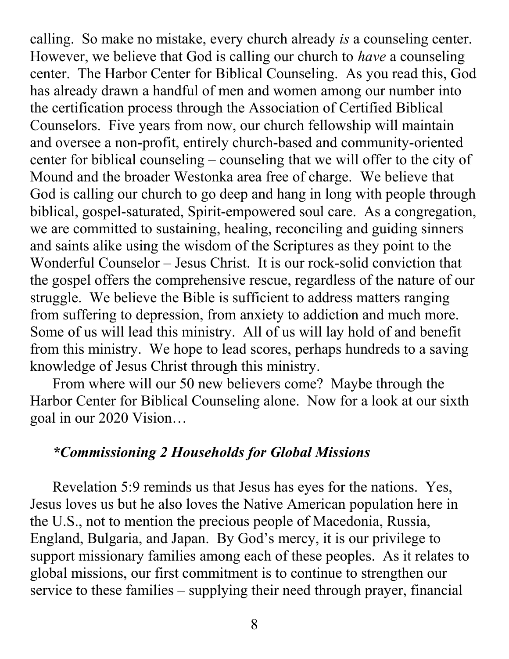calling. So make no mistake, every church already *is* a counseling center. However, we believe that God is calling our church to *have* a counseling center. The Harbor Center for Biblical Counseling. As you read this, God has already drawn a handful of men and women among our number into the certification process through the Association of Certified Biblical Counselors. Five years from now, our church fellowship will maintain and oversee a non-profit, entirely church-based and community-oriented center for biblical counseling – counseling that we will offer to the city of Mound and the broader Westonka area free of charge. We believe that God is calling our church to go deep and hang in long with people through biblical, gospel-saturated, Spirit-empowered soul care. As a congregation, we are committed to sustaining, healing, reconciling and guiding sinners and saints alike using the wisdom of the Scriptures as they point to the Wonderful Counselor – Jesus Christ. It is our rock-solid conviction that the gospel offers the comprehensive rescue, regardless of the nature of our struggle. We believe the Bible is sufficient to address matters ranging from suffering to depression, from anxiety to addiction and much more. Some of us will lead this ministry. All of us will lay hold of and benefit from this ministry. We hope to lead scores, perhaps hundreds to a saving knowledge of Jesus Christ through this ministry.

 From where will our 50 new believers come? Maybe through the Harbor Center for Biblical Counseling alone. Now for a look at our sixth goal in our 2020 Vision…

#### *\*Commissioning 2 Households for Global Missions*

 Revelation 5:9 reminds us that Jesus has eyes for the nations. Yes, Jesus loves us but he also loves the Native American population here in the U.S., not to mention the precious people of Macedonia, Russia, England, Bulgaria, and Japan. By God's mercy, it is our privilege to support missionary families among each of these peoples. As it relates to global missions, our first commitment is to continue to strengthen our service to these families – supplying their need through prayer, financial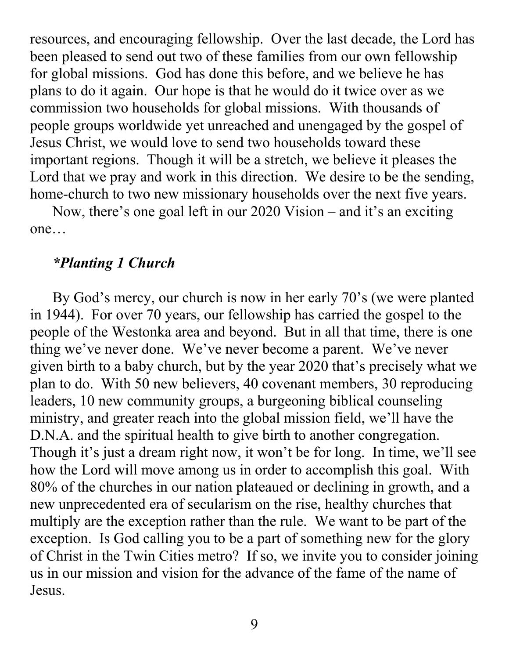resources, and encouraging fellowship. Over the last decade, the Lord has been pleased to send out two of these families from our own fellowship for global missions. God has done this before, and we believe he has plans to do it again. Our hope is that he would do it twice over as we commission two households for global missions. With thousands of people groups worldwide yet unreached and unengaged by the gospel of Jesus Christ, we would love to send two households toward these important regions. Though it will be a stretch, we believe it pleases the Lord that we pray and work in this direction. We desire to be the sending, home-church to two new missionary households over the next five years.

 Now, there's one goal left in our 2020 Vision – and it's an exciting one…

#### *\*Planting 1 Church*

 By God's mercy, our church is now in her early 70's (we were planted in 1944). For over 70 years, our fellowship has carried the gospel to the people of the Westonka area and beyond. But in all that time, there is one thing we've never done. We've never become a parent. We've never given birth to a baby church, but by the year 2020 that's precisely what we plan to do. With 50 new believers, 40 covenant members, 30 reproducing leaders, 10 new community groups, a burgeoning biblical counseling ministry, and greater reach into the global mission field, we'll have the D.N.A. and the spiritual health to give birth to another congregation. Though it's just a dream right now, it won't be for long. In time, we'll see how the Lord will move among us in order to accomplish this goal. With 80% of the churches in our nation plateaued or declining in growth, and a new unprecedented era of secularism on the rise, healthy churches that multiply are the exception rather than the rule. We want to be part of the exception. Is God calling you to be a part of something new for the glory of Christ in the Twin Cities metro? If so, we invite you to consider joining us in our mission and vision for the advance of the fame of the name of Jesus.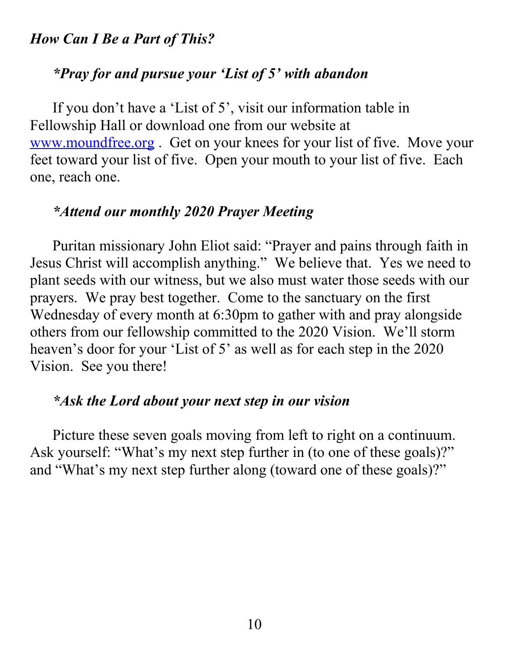### *How Can I Be a Part of This?*

#### *\*Pray for and pursue your 'List of 5' with abandon*

 If you don't have a 'List of 5', visit our information table in Fellowship Hall or download one from our website at [www.moundfree.org](http://www.moundfree.org/) . Get on your knees for your list of five. Move your feet toward your list of five. Open your mouth to your list of five. Each one, reach one.

#### *\*Attend our monthly 2020 Prayer Meeting*

 Puritan missionary John Eliot said: "Prayer and pains through faith in Jesus Christ will accomplish anything." We believe that. Yes we need to plant seeds with our witness, but we also must water those seeds with our prayers. We pray best together. Come to the sanctuary on the first Wednesday of every month at 6:30pm to gather with and pray alongside others from our fellowship committed to the 2020 Vision. We'll storm heaven's door for your 'List of 5' as well as for each step in the 2020 Vision. See you there!

### *\*Ask the Lord about your next step in our vision*

 Picture these seven goals moving from left to right on a continuum. Ask yourself: "What's my next step further in (to one of these goals)?" and "What's my next step further along (toward one of these goals)?"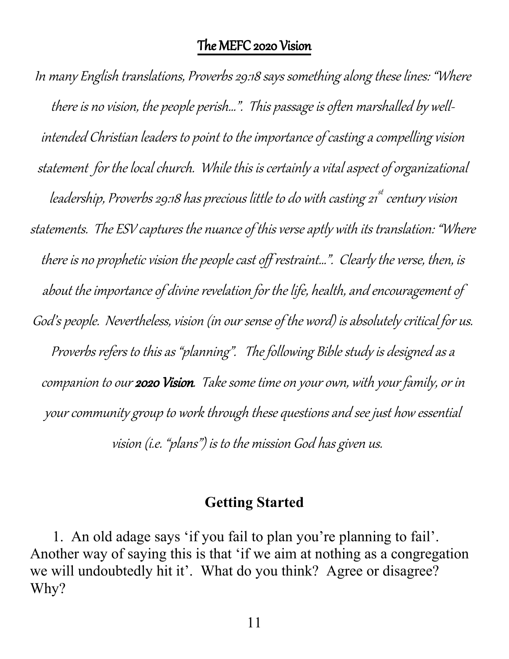In many English translations, Proverbs 29:18 says something along these lines: "Where there is no vision, the people perish…". This passage is often marshalled by wellintended Christian leaders to point to the importance of casting a compelling vision statement for the local church. While this is certainly a vital aspect of organizational leadership, Proverbs 29:18 has precious little to do with casting 21 $^{\rm st}$  century vision statements. The ESV captures the nuance of this verse aptly with its translation: "Where there is no prophetic vision the people cast off restraint…". Clearly the verse, then, is about the importance of divine revelation for the life, health, and encouragement of God's people. Nevertheless, vision (in our sense of the word) is absolutely critical for us. Proverbs refers to this as "planning". The following Bible study is designed as a companion to our 2020 Vision. Take some time on your own, with your family, or in your community group to work through these questions and see just how essential vision (i.e. "plans") is to the mission God has given us.

#### **Getting Started**

1. An old adage says 'if you fail to plan you're planning to fail'. Another way of saying this is that 'if we aim at nothing as a congregation we will undoubtedly hit it'. What do you think? Agree or disagree? Why?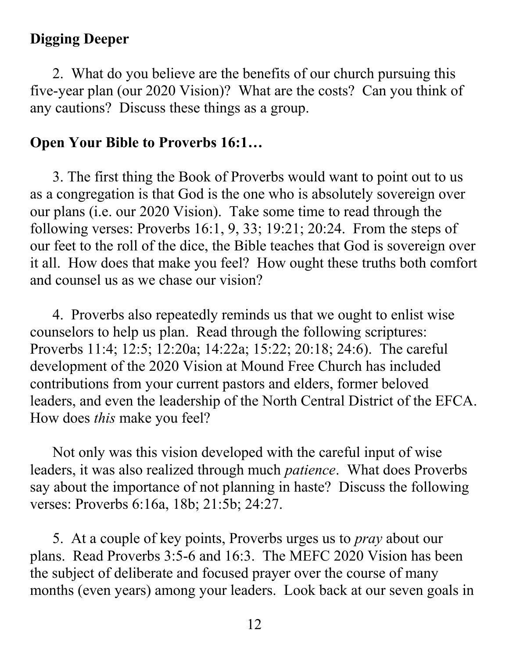## **Digging Deeper**

 2. What do you believe are the benefits of our church pursuing this five-year plan (our 2020 Vision)? What are the costs? Can you think of any cautions? Discuss these things as a group.

## **Open Your Bible to Proverbs 16:1…**

3. The first thing the Book of Proverbs would want to point out to us as a congregation is that God is the one who is absolutely sovereign over our plans (i.e. our 2020 Vision). Take some time to read through the following verses: Proverbs 16:1, 9, 33; 19:21; 20:24. From the steps of our feet to the roll of the dice, the Bible teaches that God is sovereign over it all. How does that make you feel? How ought these truths both comfort and counsel us as we chase our vision?

 4. Proverbs also repeatedly reminds us that we ought to enlist wise counselors to help us plan. Read through the following scriptures: Proverbs 11:4; 12:5; 12:20a; 14:22a; 15:22; 20:18; 24:6). The careful development of the 2020 Vision at Mound Free Church has included contributions from your current pastors and elders, former beloved leaders, and even the leadership of the North Central District of the EFCA. How does *this* make you feel?

 Not only was this vision developed with the careful input of wise leaders, it was also realized through much *patience*. What does Proverbs say about the importance of not planning in haste? Discuss the following verses: Proverbs 6:16a, 18b; 21:5b; 24:27.

 5. At a couple of key points, Proverbs urges us to *pray* about our plans. Read Proverbs 3:5-6 and 16:3. The MEFC 2020 Vision has been the subject of deliberate and focused prayer over the course of many months (even years) among your leaders. Look back at our seven goals in